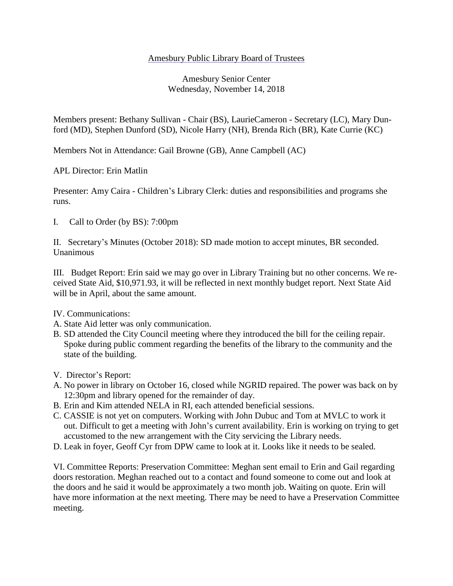## Amesbury Public Library Board of Trustees

## Amesbury Senior Center Wednesday, November 14, 2018

Members present: Bethany Sullivan - Chair (BS), LaurieCameron - Secretary (LC), Mary Dunford (MD), Stephen Dunford (SD), Nicole Harry (NH), Brenda Rich (BR), Kate Currie (KC)

Members Not in Attendance: Gail Browne (GB), Anne Campbell (AC)

APL Director: Erin Matlin

Presenter: Amy Caira - Children's Library Clerk: duties and responsibilities and programs she runs.

I. Call to Order (by BS): 7:00pm

II. Secretary's Minutes (October 2018): SD made motion to accept minutes, BR seconded. Unanimous

III. Budget Report: Erin said we may go over in Library Training but no other concerns. We received State Aid, \$10,971.93, it will be reflected in next monthly budget report. Next State Aid will be in April, about the same amount.

## IV. Communications:

- A. State Aid letter was only communication.
- B. SD attended the City Council meeting where they introduced the bill for the ceiling repair. Spoke during public comment regarding the benefits of the library to the community and the state of the building.
- V. Director's Report:
- A. No power in library on October 16, closed while NGRID repaired. The power was back on by 12:30pm and library opened for the remainder of day.
- B. Erin and Kim attended NELA in RI, each attended beneficial sessions.
- C. CASSIE is not yet on computers. Working with John Dubuc and Tom at MVLC to work it out. Difficult to get a meeting with John's current availability. Erin is working on trying to get accustomed to the new arrangement with the City servicing the Library needs.
- D. Leak in foyer, Geoff Cyr from DPW came to look at it. Looks like it needs to be sealed.

VI. Committee Reports: Preservation Committee: Meghan sent email to Erin and Gail regarding doors restoration. Meghan reached out to a contact and found someone to come out and look at the doors and he said it would be approximately a two month job. Waiting on quote. Erin will have more information at the next meeting. There may be need to have a Preservation Committee meeting.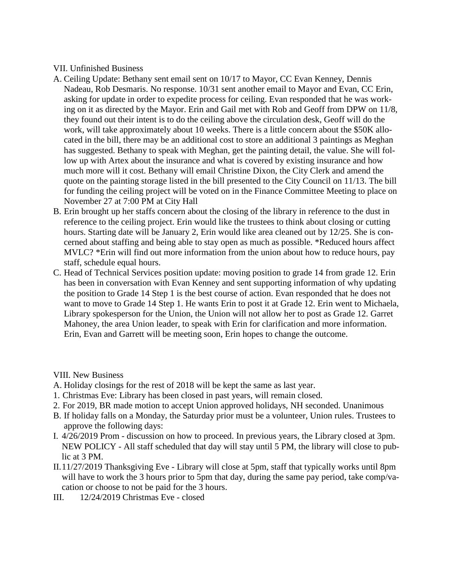## VII. Unfinished Business

- A. Ceiling Update: Bethany sent email sent on 10/17 to Mayor, CC Evan Kenney, Dennis Nadeau, Rob Desmaris. No response. 10/31 sent another email to Mayor and Evan, CC Erin, asking for update in order to expedite process for ceiling. Evan responded that he was working on it as directed by the Mayor. Erin and Gail met with Rob and Geoff from DPW on 11/8, they found out their intent is to do the ceiling above the circulation desk, Geoff will do the work, will take approximately about 10 weeks. There is a little concern about the \$50K allocated in the bill, there may be an additional cost to store an additional 3 paintings as Meghan has suggested. Bethany to speak with Meghan, get the painting detail, the value. She will follow up with Artex about the insurance and what is covered by existing insurance and how much more will it cost. Bethany will email Christine Dixon, the City Clerk and amend the quote on the painting storage listed in the bill presented to the City Council on 11/13. The bill for funding the ceiling project will be voted on in the Finance Committee Meeting to place on November 27 at 7:00 PM at City Hall
- B. Erin brought up her staffs concern about the closing of the library in reference to the dust in reference to the ceiling project. Erin would like the trustees to think about closing or cutting hours. Starting date will be January 2, Erin would like area cleaned out by 12/25. She is concerned about staffing and being able to stay open as much as possible. \*Reduced hours affect MVLC? \*Erin will find out more information from the union about how to reduce hours, pay staff, schedule equal hours.
- C. Head of Technical Services position update: moving position to grade 14 from grade 12. Erin has been in conversation with Evan Kenney and sent supporting information of why updating the position to Grade 14 Step 1 is the best course of action. Evan responded that he does not want to move to Grade 14 Step 1. He wants Erin to post it at Grade 12. Erin went to Michaela, Library spokesperson for the Union, the Union will not allow her to post as Grade 12. Garret Mahoney, the area Union leader, to speak with Erin for clarification and more information. Erin, Evan and Garrett will be meeting soon, Erin hopes to change the outcome.

VIII. New Business

- A. Holiday closings for the rest of 2018 will be kept the same as last year.
- 1. Christmas Eve: Library has been closed in past years, will remain closed.
- 2. For 2019, BR made motion to accept Union approved holidays, NH seconded. Unanimous
- B. If holiday falls on a Monday, the Saturday prior must be a volunteer, Union rules. Trustees to approve the following days:
- I. 4/26/2019 Prom discussion on how to proceed. In previous years, the Library closed at 3pm. NEW POLICY - All staff scheduled that day will stay until 5 PM, the library will close to public at 3 PM.
- II.11/27/2019 Thanksgiving Eve Library will close at 5pm, staff that typically works until 8pm will have to work the 3 hours prior to 5pm that day, during the same pay period, take comp/vacation or choose to not be paid for the 3 hours.
- III. 12/24/2019 Christmas Eve closed